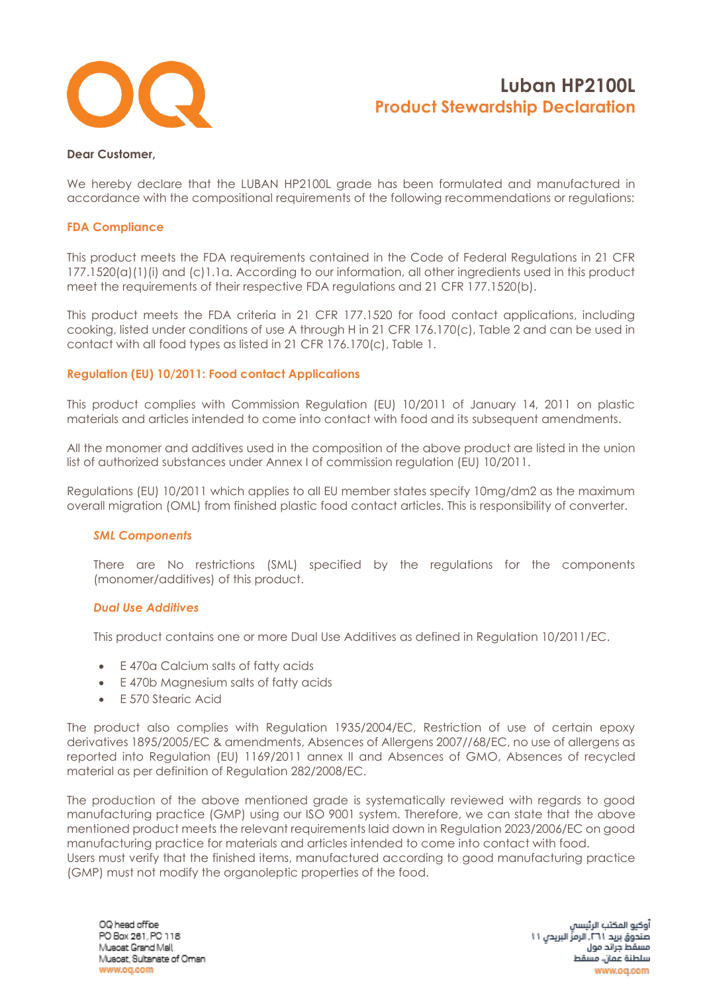

#### **Dear Customer,**

We hereby declare that the LUBAN HP2100L grade has been formulated and manufactured in accordance with the compositional requirements of the following recommendations or regulations:

#### **FDA Compliance**

This product meets the FDA requirements contained in the Code of Federal Regulations in 21 CFR 177.1520(a)(1)(i) and (c)1.1a. According to our information, all other ingredients used in this product meet the requirements of their respective FDA regulations and 21 CFR 177.1520(b).

This product meets the FDA criteria in 21 CFR 177.1520 for food contact applications, including cooking, listed under conditions of use A through H in 21 CFR 176.170(c), Table 2 and can be used in contact with all food types as listed in 21 CFR 176.170(c), Table 1.

#### **Regulation (EU) 10/2011: Food contact Applications**

This product complies with Commission Regulation (EU) 10/2011 of January 14, 2011 on plastic materials and articles intended to come into contact with food and its subsequent amendments.

All the monomer and additives used in the composition of the above product are listed in the union list of authorized substances under Annex I of commission regulation (EU) 10/2011.

Regulations (EU) 10/2011 which applies to all EU member states specify 10mg/dm2 as the maximum overall migration (OML) from finished plastic food contact articles. This is responsibility of converter.

### *SML Components*

There are No restrictions (SML) specified by the regulations for the components (monomer/additives) of this product.

#### *Dual Use Additives*

This product contains one or more Dual Use Additives as defined in Regulation 10/2011/EC.

- E 470a Calcium salts of fatty acids
- E 470b Magnesium salts of fatty acids
- E 570 Stearic Acid

The product also complies with Regulation 1935/2004/EC, Restriction of use of certain epoxy derivatives 1895/2005/EC & amendments, Absences of Allergens 2007//68/EC, no use of allergens as reported into Regulation (EU) 1169/2011 annex II and Absences of GMO, Absences of recycled material as per definition of Regulation 282/2008/EC.

The production of the above mentioned grade is systematically reviewed with regards to good manufacturing practice (GMP) using our ISO 9001 system. Therefore, we can state that the above mentioned product meets the relevant requirements laid down in Regulation 2023/2006/EC on good manufacturing practice for materials and articles intended to come into contact with food. Users must verify that the finished items, manufactured according to good manufacturing practice (GMP) must not modify the organoleptic properties of the food.

أوكيو المكتب الرئيسا صندوق بريد ٢٦١. الرمزِّ البريدن ١١ مسقط جراتد مول سلطنة عمان، مسقط www.og.com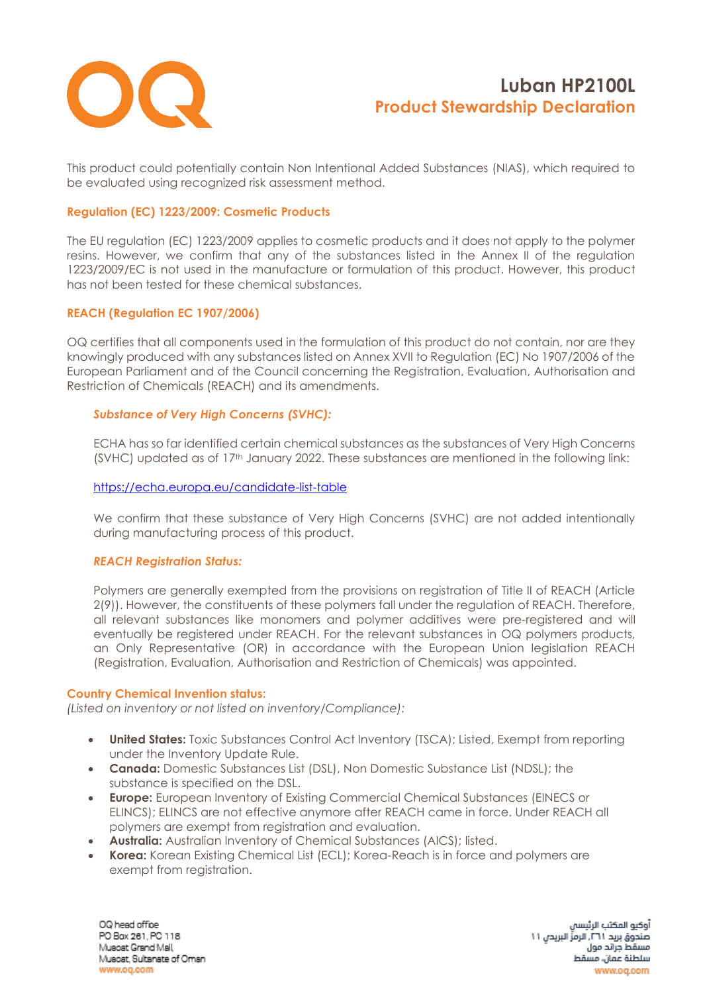

This product could potentially contain Non Intentional Added Substances (NIAS), which required to be evaluated using recognized risk assessment method.

### **Regulation (EC) 1223/2009: Cosmetic Products**

The EU regulation (EC) 1223/2009 applies to cosmetic products and it does not apply to the polymer resins. However, we confirm that any of the substances listed in the Annex II of the regulation 1223/2009/EC is not used in the manufacture or formulation of this product. However, this product has not been tested for these chemical substances.

## **REACH (Regulation EC 1907/2006)**

OQ certifies that all components used in the formulation of this product do not contain, nor are they knowingly produced with any substances listed on Annex XVII to Regulation (EC) No 1907/2006 of the European Parliament and of the Council concerning the Registration, Evaluation, Authorisation and Restriction of Chemicals (REACH) and its amendments.

## *Substance of Very High Concerns (SVHC):*

ECHA has so far identified certain chemical substances as the substances of Very High Concerns (SVHC) updated as of 17<sup>th</sup> January 2022. These substances are mentioned in the following link:

### <https://echa.europa.eu/candidate-list-table>

We confirm that these substance of Very High Concerns (SVHC) are not added intentionally during manufacturing process of this product.

### *REACH Registration Status:*

Polymers are generally exempted from the provisions on registration of Title II of REACH (Article 2(9)). However, the constituents of these polymers fall under the regulation of REACH. Therefore, all relevant substances like monomers and polymer additives were pre-registered and will eventually be registered under REACH. For the relevant substances in OQ polymers products, an Only Representative (OR) in accordance with the European Union legislation REACH (Registration, Evaluation, Authorisation and Restriction of Chemicals) was appointed.

#### **Country Chemical Invention status:**

*(Listed on inventory or not listed on inventory/Compliance):*

- **United States:** Toxic Substances Control Act Inventory (TSCA); Listed, Exempt from reporting under the Inventory Update Rule.
- **Canada:** Domestic Substances List (DSL), Non Domestic Substance List (NDSL); the substance is specified on the DSL.
- **Europe:** European Inventory of Existing Commercial Chemical Substances (EINECS or ELINCS); ELINCS are not effective anymore after REACH came in force. Under REACH all polymers are exempt from registration and evaluation.
- **Australia:** Australian Inventory of Chemical Substances (AICS); listed.
- **Korea:** Korean Existing Chemical List (ECL); Korea-Reach is in force and polymers are exempt from registration.

OQ head office PO Box 261, PC 118 Muscat Grand Mall Musost, Sultanate of Oman www.og.com

أوكيو المكتب الرئيسا صندوق بريد ٢٦١. الرمزِّ البريدي ١١ مسقط جراتد مول سلطنة عمان، مسقط www.og.com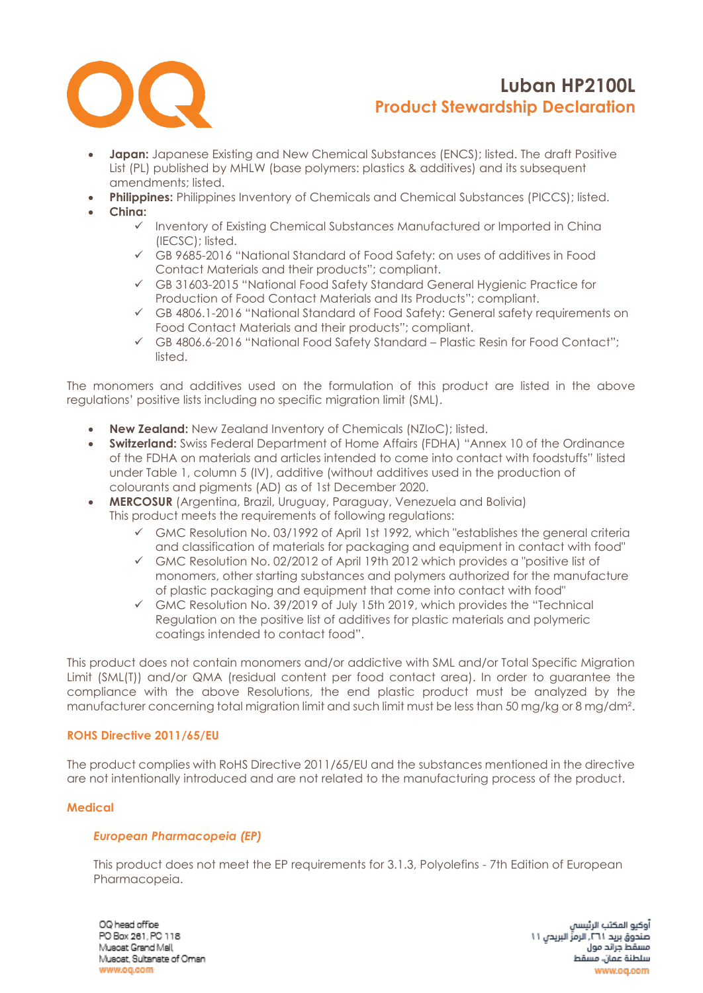

- **Japan:** Japanese Existing and New Chemical Substances (ENCS); listed. The draft Positive List (PL) published by MHLW (base polymers: plastics & additives) and its subsequent amendments; listed.
- **Philippines:** Philippines Inventory of Chemicals and Chemical Substances (PICCS); listed.
- **China:**
	- ✓ Inventory of Existing Chemical Substances Manufactured or Imported in China (IECSC); listed.
	- ✓ GB 9685-2016 "National Standard of Food Safety: on uses of additives in Food Contact Materials and their products"; compliant.
	- ✓ GB 31603-2015 "National Food Safety Standard General Hygienic Practice for Production of Food Contact Materials and Its Products"; compliant.
	- ✓ GB 4806.1-2016 "National Standard of Food Safety: General safety requirements on Food Contact Materials and their products"; compliant.
	- ✓ GB 4806.6-2016 "National Food Safety Standard Plastic Resin for Food Contact"; listed.

The monomers and additives used on the formulation of this product are listed in the above regulations' positive lists including no specific migration limit (SML).

- **New Zealand:** New Zealand Inventory of Chemicals (NZIoC); listed.
- **Switzerland:** Swiss Federal Department of Home Affairs (FDHA) "Annex 10 of the Ordinance of the FDHA on materials and articles intended to come into contact with foodstuffs" listed under Table 1, column 5 (IV), additive (without additives used in the production of colourants and pigments (AD) as of 1st December 2020.
- **MERCOSUR** (Argentina, Brazil, Uruguay, Paraguay, Venezuela and Bolivia) This product meets the requirements of following regulations:
	- $\checkmark$  GMC Resolution No. 03/1992 of April 1st 1992, which "establishes the general criteria and classification of materials for packaging and equipment in contact with food"
	- ✓ GMC Resolution No. 02/2012 of April 19th 2012 which provides a "positive list of monomers, other starting substances and polymers authorized for the manufacture of plastic packaging and equipment that come into contact with food"
	- ✓ GMC Resolution No. 39/2019 of July 15th 2019, which provides the "Technical Regulation on the positive list of additives for plastic materials and polymeric coatings intended to contact food".

This product does not contain monomers and/or addictive with SML and/or Total Specific Migration Limit (SML(T)) and/or QMA (residual content per food contact area). In order to guarantee the compliance with the above Resolutions, the end plastic product must be analyzed by the manufacturer concerning total migration limit and such limit must be less than 50 mg/kg or 8 mg/dm².

### **ROHS Directive 2011/65/EU**

The product complies with RoHS Directive 2011/65/EU and the substances mentioned in the directive are not intentionally introduced and are not related to the manufacturing process of the product.

### **Medical**

### *European Pharmacopeia (EP)*

This product does not meet the EP requirements for 3.1.3, Polyolefins - 7th Edition of European Pharmacopeia.

OQ head office PO Box 261, PC 118 Muscat Grand Mall Musost, Sultanate of Oman www.og.com

أوكيو المكتب الرئيسا صندوق بريد ٢٦١. الرمزِّ البريدن ١١ مسقط جراتد مول سلطنة عمان، مسقط www.oa.com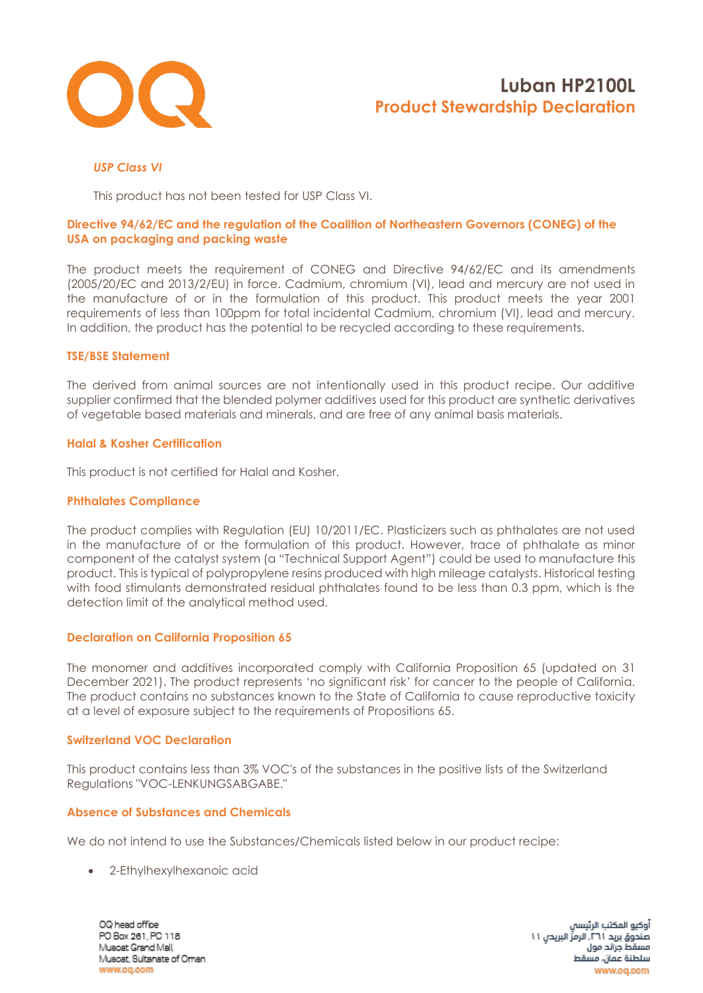

## *USP Class VI*

This product has not been tested for USP Class VI.

### **Directive 94/62/EC and the regulation of the Coalition of Northeastern Governors (CONEG) of the USA on packaging and packing waste**

The product meets the requirement of CONEG and Directive 94/62/EC and its amendments (2005/20/EC and 2013/2/EU) in force. Cadmium, chromium (VI), lead and mercury are not used in the manufacture of or in the formulation of this product. This product meets the year 2001 requirements of less than 100ppm for total incidental Cadmium, chromium (VI), lead and mercury. In addition, the product has the potential to be recycled according to these requirements.

### **TSE/BSE Statement**

The derived from animal sources are not intentionally used in this product recipe. Our additive supplier confirmed that the blended polymer additives used for this product are synthetic derivatives of vegetable based materials and minerals, and are free of any animal basis materials.

### **Halal & Kosher Certification**

This product is not certified for Halal and Kosher.

### **Phthalates Compliance**

The product complies with Regulation (EU) 10/2011/EC. Plasticizers such as phthalates are not used in the manufacture of or the formulation of this product. However, trace of phthalate as minor component of the catalyst system (a "Technical Support Agent") could be used to manufacture this product. This is typical of polypropylene resins produced with high mileage catalysts. Historical testing with food stimulants demonstrated residual phthalates found to be less than 0.3 ppm, which is the detection limit of the analytical method used.

### **Declaration on California Proposition 65**

The monomer and additives incorporated comply with California Proposition 65 (updated on 31 December 2021). The product represents 'no significant risk' for cancer to the people of California. The product contains no substances known to the State of California to cause reproductive toxicity at a level of exposure subject to the requirements of Propositions 65.

### **Switzerland VOC Declaration**

This product contains less than 3% VOC's of the substances in the positive lists of the Switzerland Regulations "VOC-LENKUNGSABGABE."

## **Absence of Substances and Chemicals**

We do not intend to use the Substances/Chemicals listed below in our product recipe:

• 2-Ethylhexylhexanoic acid

OQ head office PO Box 261, PC 118 Muscat Grand Mall Musost, Sultanate of Oman www.og.com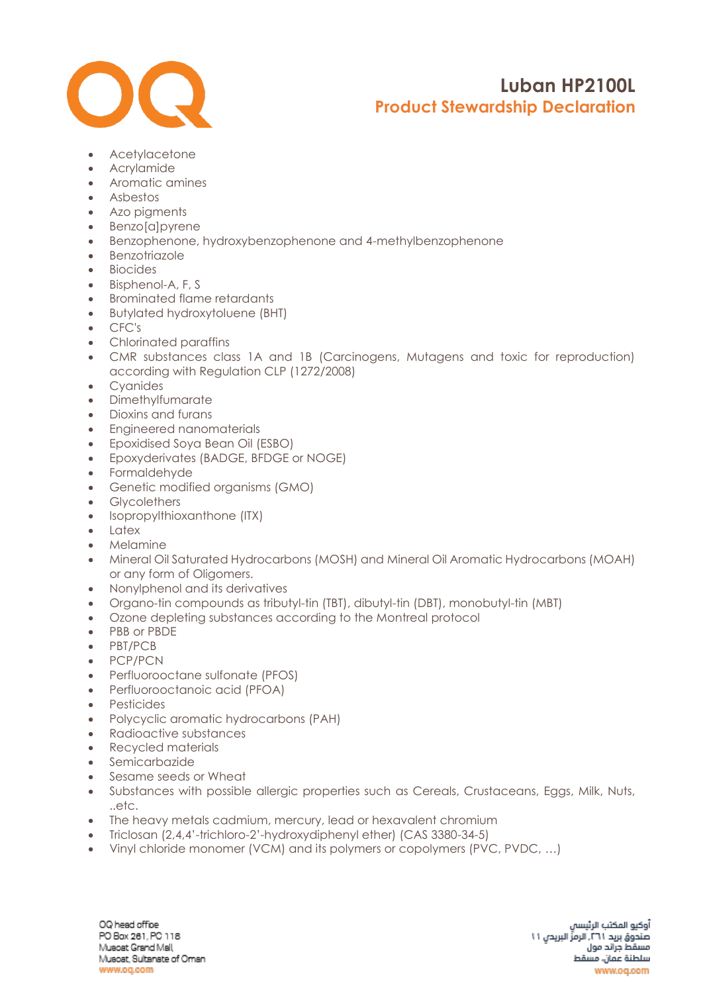

- Acetylacetone
- Acrylamide
- Aromatic amines
- Asbestos
- Azo pigments
- Benzo[a]pyrene
- Benzophenone, hydroxybenzophenone and 4-methylbenzophenone
- Benzotriazole
- Biocides
- Bisphenol-A, F, S
- Brominated flame retardants
- Butylated hydroxytoluene (BHT)
- CFC's
- Chlorinated paraffins
- CMR substances class 1A and 1B (Carcinogens, Mutagens and toxic for reproduction) according with Regulation CLP (1272/2008)
- Cyanides
- Dimethylfumarate
- Dioxins and furans
- Engineered nanomaterials
- Epoxidised Soya Bean Oil (ESBO)
- Epoxyderivates (BADGE, BFDGE or NOGE)
- Formaldehyde
- Genetic modified organisms (GMO)
- Glycolethers
- [Isopropylthioxanthone](https://www.google.com/search?rlz=1C1CHBF_enAE772AE772&q=Isopropylthioxanthone+(ITX)&spell=1&sa=X&ved=0ahUKEwjZgv6l6_fZAhWOblAKHQZfCSMQkeECCCIoAA) (ITX)
- Latex
- Melamine
- Mineral Oil Saturated Hydrocarbons (MOSH) and Mineral Oil Aromatic Hydrocarbons (MOAH) or any form of Oligomers.
- Nonylphenol and its derivatives
- Organo-tin compounds as tributyl-tin (TBT), dibutyl-tin (DBT), monobutyl-tin (MBT)
- Ozone depleting substances according to the Montreal protocol
- PBB or PBDE
- PBT/PCB
- PCP/PCN
- Perfluorooctane sulfonate (PFOS)
- Perfluorooctanoic acid (PFOA)
- Pesticides
- Polycyclic aromatic hydrocarbons (PAH)
- Radioactive substances
- Recycled materials
- Semicarbazide
- Sesame seeds or Wheat
- Substances with possible allergic properties such as Cereals, Crustaceans, Eggs, Milk, Nuts, ..etc.
- The heavy metals cadmium, mercury, lead or hexavalent chromium
- Triclosan (2,4,4'-trichloro-2'-hydroxydiphenyl ether) (CAS 3380-34-5)
- Vinyl chloride monomer (VCM) and its polymers or copolymers (PVC, PVDC, …)